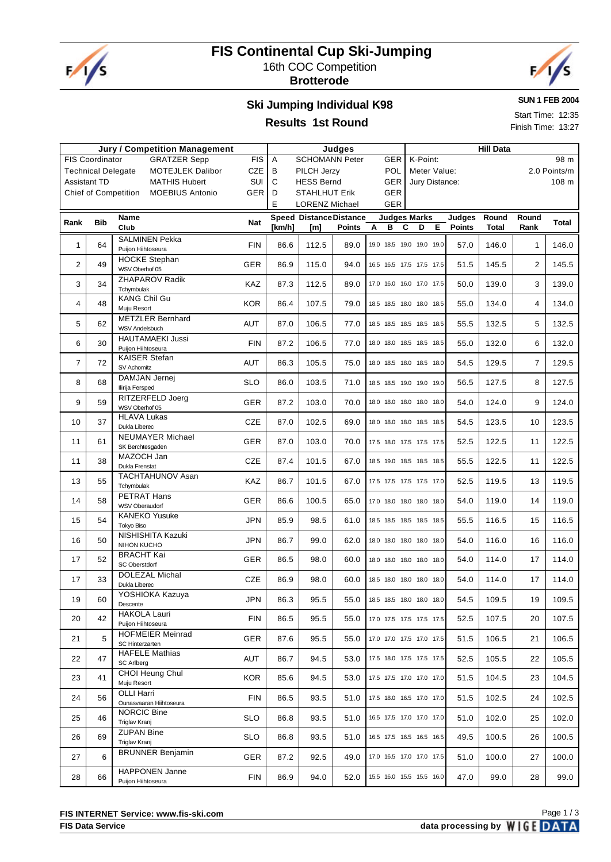

# **FIS Continental Cup Ski-Jumping** 16th COC Competition

**Brotterode**



#### **Ski Jumping Individual K98**

**SUN 1 FEB 2004**

Start Time: 12:35 Finish Time: 13:27

#### **Results 1st Round**

| <b>Jury / Competition Management</b> |                           |                                                       |            | Judges |                                               |               |                   | <b>Hill Data</b>                    |                         |                |                |              |  |
|--------------------------------------|---------------------------|-------------------------------------------------------|------------|--------|-----------------------------------------------|---------------|-------------------|-------------------------------------|-------------------------|----------------|----------------|--------------|--|
|                                      | <b>FIS Coordinator</b>    | <b>GRATZER Sepp</b>                                   | <b>FIS</b> | Α      | <b>SCHOMANN Peter</b>                         |               | <b>GER</b>        | K-Point:                            |                         |                |                | 98 m         |  |
|                                      | <b>Technical Delegate</b> | <b>MOTEJLEK Dalibor</b>                               | CZE        | B      | PILCH Jerzy                                   |               | POL               | Meter Value:                        |                         |                |                | 2.0 Points/m |  |
| <b>Assistant TD</b>                  |                           | <b>MATHIS Hubert</b>                                  | SUI        | C      | <b>HESS Bernd</b>                             |               | <b>GER</b>        | Jury Distance:                      |                         |                |                | 108 m        |  |
|                                      |                           | <b>Chief of Competition</b><br><b>MOEBIUS Antonio</b> | GER        | D      | <b>STAHLHUT Erik</b><br><b>LORENZ Michael</b> |               | <b>GER</b><br>GER |                                     |                         |                |                |              |  |
|                                      |                           |                                                       |            | Ε      |                                               |               |                   |                                     |                         |                |                |              |  |
| Rank                                 | <b>Bib</b>                | Name<br>Club                                          | Nat        | [km/h] | <b>Speed Distance Distance</b><br>[m]         | <b>Points</b> | A<br>в            | <b>Judges Marks</b><br>C<br>D<br>Е. | Judges<br><b>Points</b> | Round<br>Total | Round<br>Rank  | <b>Total</b> |  |
|                                      |                           | <b>SALMINEN Pekka</b>                                 |            |        |                                               |               |                   |                                     |                         |                |                |              |  |
| $\mathbf{1}$                         | 64                        | Puijon Hiihtoseura                                    | <b>FIN</b> | 86.6   | 112.5                                         | 89.0          |                   | 19.0 18.5 19.0 19.0 19.0            | 57.0                    | 146.0          | $\mathbf{1}$   | 146.0        |  |
| $\overline{2}$                       | 49                        | <b>HOCKE Stephan</b><br>WSV Oberhof 05                | GER        | 86.9   | 115.0                                         | 94.0          |                   | 16.5 16.5 17.5 17.5 17.5            | 51.5                    | 145.5          | 2              | 145.5        |  |
| 3                                    | 34                        | ZHAPAROV Radik<br>Tchymbulak                          | KAZ        | 87.3   | 112.5                                         | 89.0          |                   | 17.0 16.0 16.0 17.0 17.5            | 50.0                    | 139.0          | 3              | 139.0        |  |
| 4                                    | 48                        | <b>KANG Chil Gu</b><br>Muju Resort                    | <b>KOR</b> | 86.4   | 107.5                                         | 79.0          |                   | 18.5 18.5 18.0 18.0 18.5            | 55.0                    | 134.0          | 4              | 134.0        |  |
| 5                                    | 62                        | <b>METZLER Bernhard</b><br><b>WSV Andelsbuch</b>      | AUT        | 87.0   | 106.5                                         | 77.0          |                   | 18.5 18.5 18.5 18.5 18.5            | 55.5                    | 132.5          | 5              | 132.5        |  |
| 6                                    | 30                        | <b>HAUTAMAEKI Jussi</b><br>Puijon Hiihtoseura         | <b>FIN</b> | 87.2   | 106.5                                         | 77.0          |                   | 18.0 18.0 18.5 18.5 18.5            | 55.0                    | 132.0          | 6              | 132.0        |  |
| 7                                    | 72                        | <b>KAISER Stefan</b><br>SV Achomitz                   | AUT        | 86.3   | 105.5                                         | 75.0          |                   | 18.0 18.5 18.0 18.5 18.0            | 54.5                    | 129.5          | $\overline{7}$ | 129.5        |  |
| 8                                    | 68                        | DAMJAN Jernej<br>Ilirija Fersped                      | <b>SLO</b> | 86.0   | 103.5                                         | 71.0          |                   | 18.5 18.5 19.0 19.0 19.0            | 56.5                    | 127.5          | 8              | 127.5        |  |
| 9                                    | 59                        | RITZERFELD Joerg<br>WSV Oberhof 05                    | <b>GER</b> | 87.2   | 103.0                                         | 70.0          |                   | 18.0 18.0 18.0 18.0 18.0            | 54.0                    | 124.0          | 9              | 124.0        |  |
| 10                                   | 37                        | <b>HLAVA Lukas</b><br>Dukla Liberec                   | CZE        | 87.0   | 102.5                                         | 69.0          |                   | 18.0 18.0 18.0 18.5 18.5            | 54.5                    | 123.5          | 10             | 123.5        |  |
| 11                                   | 61                        | NEUMAYER Michael<br>SK Berchtesgaden                  | GER        | 87.0   | 103.0                                         | 70.0          |                   | 17.5 18.0 17.5 17.5 17.5            | 52.5                    | 122.5          | 11             | 122.5        |  |
| 11                                   | 38                        | MAZOCH Jan<br>Dukla Frenstat                          | <b>CZE</b> | 87.4   | 101.5                                         | 67.0          |                   | 18.5 19.0 18.5 18.5 18.5            | 55.5                    | 122.5          | 11             | 122.5        |  |
| 13                                   | 55                        | TACHTAHUNOV Asan<br>Tchymbulak                        | KAZ        | 86.7   | 101.5                                         | 67.0          |                   | 17.5 17.5 17.5 17.5 17.0            | 52.5                    | 119.5          | 13             | 119.5        |  |
| 14                                   | 58                        | PETRAT Hans<br>WSV Oberaudorf                         | <b>GER</b> | 86.6   | 100.5                                         | 65.0          |                   | 17.0 18.0 18.0 18.0 18.0            | 54.0                    | 119.0          | 14             | 119.0        |  |
| 15                                   | 54                        | <b>KANEKO Yusuke</b><br>Tokyo Biso                    | <b>JPN</b> | 85.9   | 98.5                                          | 61.0          |                   | 18.5 18.5 18.5 18.5 18.5            | 55.5                    | 116.5          | 15             | 116.5        |  |
| 16                                   | 50                        | NISHISHITA Kazuki<br>NIHON KUCHO                      | <b>JPN</b> | 86.7   | 99.0                                          | 62.0          |                   | 18.0 18.0 18.0 18.0 18.0            | 54.0                    | 116.0          | 16             | 116.0        |  |
| 17                                   | 52                        | <b>BRACHT Kai</b><br>SC Oberstdorf                    | <b>GER</b> | 86.5   | 98.0                                          | 60.0          |                   | 18.0 18.0 18.0 18.0 18.0            | 54.0                    | 114.0          | 17             | 114.0        |  |
| 17                                   | 33                        | DOLEZAL Michal<br>Dukla Liberec                       | CZE        | 86.9   | 98.0                                          | 60.0          |                   | 18.5 18.0 18.0 18.0 18.0            | 54.0                    | 114.0          | 17             | 114.0        |  |
| 19                                   | 60                        | YOSHIOKA Kazuya<br>Descente                           | <b>JPN</b> | 86.3   | 95.5                                          | 55.0          |                   | 18.5 18.5 18.0 18.0 18.0            | 54.5                    | 109.5          | 19             | 109.5        |  |
| 20                                   | 42                        | <b>HAKOLA Lauri</b><br>Puijon Hiihtoseura             | <b>FIN</b> | 86.5   | 95.5                                          | 55.0          |                   | 17.0 17.5 17.5 17.5 17.5            | 52.5                    | 107.5          | 20             | 107.5        |  |
| 21                                   | 5                         | <b>HOFMEIER Meinrad</b><br>SC Hinterzarten            | <b>GER</b> | 87.6   | 95.5                                          | 55.0          |                   | 17.0 17.0 17.5 17.0 17.5            | 51.5                    | 106.5          | 21             | 106.5        |  |
| 22                                   | 47                        | <b>HAFELE Mathias</b><br>SC Arlberg                   | AUT        | 86.7   | 94.5                                          | 53.0          |                   | 17.5 18.0 17.5 17.5 17.5            | 52.5                    | 105.5          | 22             | 105.5        |  |
| 23                                   | 41                        | CHOI Heung Chul<br>Muju Resort                        | <b>KOR</b> | 85.6   | 94.5                                          | 53.0          |                   | 17.5 17.5 17.0 17.0 17.0            | 51.5                    | 104.5          | 23             | 104.5        |  |
| 24                                   | 56                        | OLLI Harri<br>Ounasvaaran Hiihtoseura                 | <b>FIN</b> | 86.5   | 93.5                                          | 51.0          |                   | 17.5 18.0 16.5 17.0 17.0            | 51.5                    | 102.5          | 24             | 102.5        |  |
| 25                                   | 46                        | <b>NORCIC Bine</b><br>Triglav Kranj                   | <b>SLO</b> | 86.8   | 93.5                                          | 51.0          |                   | 16.5 17.5 17.0 17.0 17.0            | 51.0                    | 102.0          | 25             | 102.0        |  |
| 26                                   | 69                        | <b>ZUPAN Bine</b><br>Triglav Kranj                    | <b>SLO</b> | 86.8   | 93.5                                          | 51.0          |                   | 16.5 17.5 16.5 16.5 16.5            | 49.5                    | 100.5          | 26             | 100.5        |  |
| 27                                   | 6                         | <b>BRUNNER Benjamin</b>                               | GER        | 87.2   | 92.5                                          | 49.0          |                   | 17.0 16.5 17.0 17.0 17.5            | 51.0                    | 100.0          | 27             | 100.0        |  |
| 28                                   | 66                        | <b>HAPPONEN Janne</b><br>Puijon Hiihtoseura           | <b>FIN</b> | 86.9   | 94.0                                          | 52.0          |                   | 15.5 16.0 15.5 15.5 16.0            | 47.0                    | 99.0           | 28             | 99.0         |  |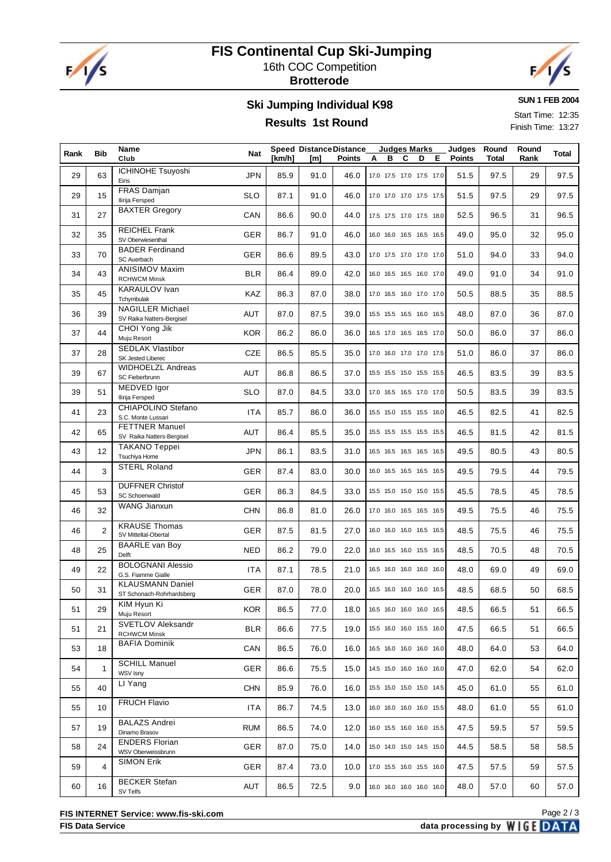

### **FIS Continental Cup Ski-Jumping** 16th COC Competition

**Brotterode**



**SUN 1 FEB 2004**

Start Time: 12:35 Finish Time: 13:27

# **Ski Jumping Individual K98**

### **Results 1st Round**

| Rank | <b>Bib</b>   | Name<br>Club                                         | Nat        | [km/h] | <b>Speed Distance Distance</b><br>[m] | <b>Points</b> | в<br>A                   | <b>Judges Marks</b><br>C | D | Е | Judges<br><b>Points</b> | Round<br>Total | Round<br>Rank | Total |
|------|--------------|------------------------------------------------------|------------|--------|---------------------------------------|---------------|--------------------------|--------------------------|---|---|-------------------------|----------------|---------------|-------|
| 29   | 63           | <b>ICHINOHE Tsuyoshi</b><br>Eins                     | <b>JPN</b> | 85.9   | 91.0                                  | 46.0          | 17.0 17.5 17.0 17.5 17.0 |                          |   |   | 51.5                    | 97.5           | 29            | 97.5  |
| 29   | 15           | FRAS Damjan<br>Ilirija Fersped                       | <b>SLO</b> | 87.1   | 91.0                                  | 46.0          | 17.0 17.0 17.0 17.5 17.5 |                          |   |   | 51.5                    | 97.5           | 29            | 97.5  |
| 31   | 27           | <b>BAXTER Gregory</b>                                | CAN        | 86.6   | 90.0                                  | 44.0          | 17.5 17.5 17.0 17.5 18.0 |                          |   |   | 52.5                    | 96.5           | 31            | 96.5  |
| 32   | 35           | <b>REICHEL Frank</b><br>SV Oberwiesenthal            | <b>GER</b> | 86.7   | 91.0                                  | 46.0          | 16.0 16.0 16.5 16.5 16.5 |                          |   |   | 49.0                    | 95.0           | 32            | 95.0  |
| 33   | 70           | <b>BADER Ferdinand</b><br>SC Auerbach                | <b>GER</b> | 86.6   | 89.5                                  | 43.0          | 17.0 17.5 17.0 17.0 17.0 |                          |   |   | 51.0                    | 94.0           | 33            | 94.0  |
| 34   | 43           | <b>ANISIMOV Maxim</b><br><b>RCHWCM Minsk</b>         | <b>BLR</b> | 86.4   | 89.0                                  | 42.0          | 16.0 16.5 16.5 16.0 17.0 |                          |   |   | 49.0                    | 91.0           | 34            | 91.0  |
| 35   | 45           | KARAULOV Ivan<br>Tchymbulak                          | KAZ        | 86.3   | 87.0                                  | 38.0          | 17.0 16.5 16.0 17.0 17.0 |                          |   |   | 50.5                    | 88.5           | 35            | 88.5  |
| 36   | 39           | <b>NAGILLER Michael</b><br>SV Raika Natters-Bergisel | AUT        | 87.0   | 87.5                                  | 39.0          | 15.5 15.5 16.5 16.0 16.5 |                          |   |   | 48.0                    | 87.0           | 36            | 87.0  |
| 37   | 44           | CHOI Yong Jik<br>Muju Resort                         | <b>KOR</b> | 86.2   | 86.0                                  | 36.0          | 16.5 17.0 16.5 16.5 17.0 |                          |   |   | 50.0                    | 86.0           | 37            | 86.0  |
| 37   | 28           | <b>SEDLAK Vlastibor</b><br>SK Jested Liberec         | <b>CZE</b> | 86.5   | 85.5                                  | 35.0          | 17.0 16.0 17.0 17.0 17.5 |                          |   |   | 51.0                    | 86.0           | 37            | 86.0  |
| 39   | 67           | <b>WIDHOELZL Andreas</b><br>SC Fieberbrunn           | <b>AUT</b> | 86.8   | 86.5                                  | 37.0          | 15.5 15.5 15.0 15.5 15.5 |                          |   |   | 46.5                    | 83.5           | 39            | 83.5  |
| 39   | 51           | MEDVED Igor<br>Ilirija Fersped                       | <b>SLO</b> | 87.0   | 84.5                                  | 33.0          | 17.0 16.5 16.5 17.0 17.0 |                          |   |   | 50.5                    | 83.5           | 39            | 83.5  |
| 41   | 23           | CHIAPOLINO Stefano<br>S.C. Monte Lussari             | <b>ITA</b> | 85.7   | 86.0                                  | 36.0          | 15.5 15.0 15.5 15.5 16.0 |                          |   |   | 46.5                    | 82.5           | 41            | 82.5  |
| 42   | 65           | <b>FETTNER Manuel</b><br>SV Raika Natters-Bergisel   | <b>AUT</b> | 86.4   | 85.5                                  | 35.0          | 15.5 15.5 15.5 15.5 15.5 |                          |   |   | 46.5                    | 81.5           | 42            | 81.5  |
| 43   | 12           | <b>TAKANO Teppei</b><br>Tsuchiya Home                | <b>JPN</b> | 86.1   | 83.5                                  | 31.0          | 16.5 16.5 16.5 16.5 16.5 |                          |   |   | 49.5                    | 80.5           | 43            | 80.5  |
| 44   | 3            | <b>STERL Roland</b>                                  | <b>GER</b> | 87.4   | 83.0                                  | 30.0          | 16.0 16.5 16.5 16.5 16.5 |                          |   |   | 49.5                    | 79.5           | 44            | 79.5  |
| 45   | 53           | <b>DUFFNER Christof</b><br>SC Schoenwald             | <b>GER</b> | 86.3   | 84.5                                  | 33.0          | 15.5 15.0 15.0 15.0 15.5 |                          |   |   | 45.5                    | 78.5           | 45            | 78.5  |
| 46   | 32           | WANG Jianxun                                         | <b>CHN</b> | 86.8   | 81.0                                  | 26.0          | 17.0 16.0 16.5 16.5 16.5 |                          |   |   | 49.5                    | 75.5           | 46            | 75.5  |
| 46   | 2            | <b>KRAUSE Thomas</b><br>SV Mitteltal-Obertal         | <b>GER</b> | 87.5   | 81.5                                  | 27.0          | 16.0 16.0 16.0 16.5 16.5 |                          |   |   | 48.5                    | 75.5           | 46            | 75.5  |
| 48   | 25           | <b>BAARLE van Boy</b><br>Delft                       | <b>NED</b> | 86.2   | 79.0                                  | 22.0          | 16.0 16.5 16.0 15.5 16.5 |                          |   |   | 48.5                    | 70.5           | 48            | 70.5  |
| 49   | 22           | <b>BOLOGNANI Alessio</b><br>G.S. Fiamme Gialle       | <b>ITA</b> | 87.1   | 78.5                                  | 21.0          | 16.5 16.0 16.0 16.0 16.0 |                          |   |   | 48.0                    | 69.0           | 49            | 69.0  |
| 50   | 31           | <b>KLAUSMANN Daniel</b><br>ST Schonach-Rohrhardsberg | GER        | 87.0   | 78.0                                  | 20.0          | 16.5 16.0 16.0 16.0 16.5 |                          |   |   | 48.5                    | 68.5           | 50            | 68.5  |
| 51   | 29           | KIM Hyun Ki<br>Muju Resort                           | <b>KOR</b> | 86.5   | 77.0                                  | 18.0          | 16.5 16.0 16.0 16.0 16.5 |                          |   |   | 48.5                    | 66.5           | 51            | 66.5  |
| 51   | 21           | SVETLOV Aleksandr<br><b>RCHWCM Minsk</b>             | <b>BLR</b> | 86.6   | 77.5                                  | 19.0          | 15.5 16.0 16.0 15.5 16.0 |                          |   |   | 47.5                    | 66.5           | 51            | 66.5  |
| 53   | 18           | <b>BAFIA Dominik</b>                                 | CAN        | 86.5   | 76.0                                  | 16.0          | 16.5 16.0 16.0 16.0 16.0 |                          |   |   | 48.0                    | 64.0           | 53            | 64.0  |
| 54   | $\mathbf{1}$ | <b>SCHILL Manuel</b><br>WSV Isny                     | <b>GER</b> | 86.6   | 75.5                                  | 15.0          | 14.5 15.0 16.0 16.0 16.0 |                          |   |   | 47.0                    | 62.0           | 54            | 62.0  |
| 55   | 40           | LI Yang                                              | <b>CHN</b> | 85.9   | 76.0                                  | 16.0          | 15.5 15.0 15.0 15.0 14.5 |                          |   |   | 45.0                    | 61.0           | 55            | 61.0  |
| 55   | 10           | <b>FRUCH Flavio</b>                                  | <b>ITA</b> | 86.7   | 74.5                                  | 13.0          | 16.0 16.0 16.0 16.0 15.5 |                          |   |   | 48.0                    | 61.0           | 55            | 61.0  |
| 57   | 19           | <b>BALAZS Andrei</b><br>Dinamo Brasov                | <b>RUM</b> | 86.5   | 74.0                                  | 12.0          | 16.0 15.5 16.0 16.0 15.5 |                          |   |   | 47.5                    | 59.5           | 57            | 59.5  |
| 58   | 24           | <b>ENDERS Florian</b><br>WSV Oberweissbrunn          | <b>GER</b> | 87.0   | 75.0                                  | 14.0          | 15.0 14.0 15.0 14.5 15.0 |                          |   |   | 44.5                    | 58.5           | 58            | 58.5  |
| 59   | 4            | <b>SIMON Erik</b>                                    | <b>GER</b> | 87.4   | 73.0                                  | 10.0          | 17.0 15.5 16.0 15.5 16.0 |                          |   |   | 47.5                    | 57.5           | 59            | 57.5  |
| 60   | 16           | <b>BECKER Stefan</b><br>SV Telfs                     | AUT        | 86.5   | 72.5                                  | 9.0           | 16.0 16.0 16.0 16.0 16.0 |                          |   |   | 48.0                    | 57.0           | 60            | 57.0  |